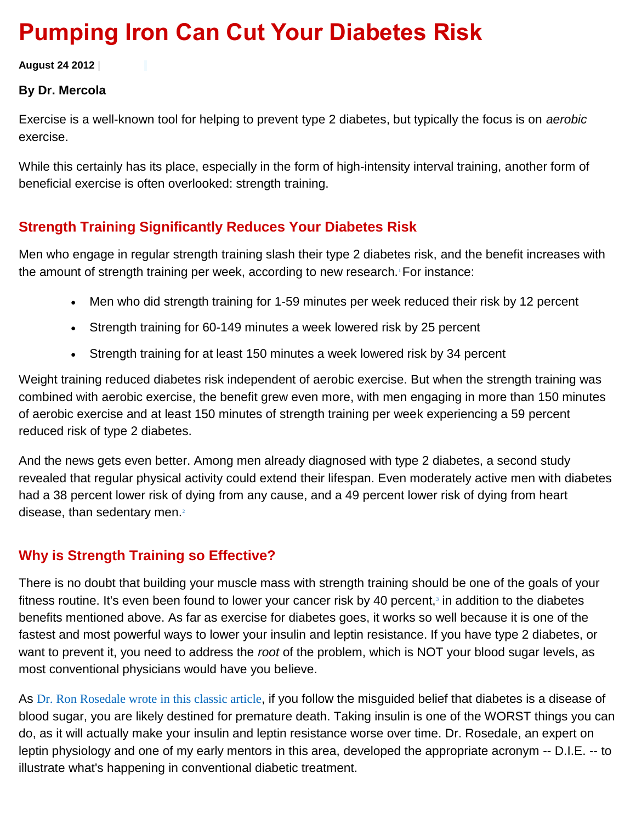# **Pumping Iron Can Cut Your Diabetes Risk**

**August 24 2012 |**

#### **By Dr. Mercola**

Exercise is a well-known tool for helping to prevent type 2 diabetes, but typically the focus is on *aerobic*  exercise.

While this certainly has its place, especially in the form of high-intensity interval training, another form of beneficial exercise is often overlooked: strength training.

## **Strength Training Significantly Reduces Your Diabetes Risk**

Men who engage in regular strength training slash their type 2 diabetes risk, and the benefit increases with the amount of strength training per week, according to new research.<sup>1</sup> [F](http://fitness.mercola.com/sites/fitness/archive/2012/08/24/strength-training-lowers-diabetes-risk.aspx#_edn1)or instance:

- Men who did strength training for 1-59 minutes per week reduced their risk by 12 percent
- Strength training for 60-149 minutes a week lowered risk by 25 percent
- Strength training for at least 150 minutes a week lowered risk by 34 percent

Weight training reduced diabetes risk independent of aerobic exercise. But when the strength training was combined with aerobic exercise, the benefit grew even more, with men engaging in more than 150 minutes of aerobic exercise and at least 150 minutes of strength training per week experiencing a 59 percent reduced risk of type 2 diabetes.

And the news gets even better. Among men already diagnosed with type 2 diabetes, a second study revealed that regular physical activity could extend their lifespan. Even moderately active men with diabetes had a 38 percent lower risk of dying from any cause, and a 49 percent lower risk of dying from heart disease, than sedentary men[.](http://fitness.mercola.com/sites/fitness/archive/2012/08/24/strength-training-lowers-diabetes-risk.aspx#_edn2)<sup>2</sup>

## **Why is Strength Training so Effective?**

There is no doubt that building your muscle mass with strength training should be one of the goals of your fitness routine. It's even been found to lower your cancer risk by 40 percent[,](http://fitness.mercola.com/sites/fitness/archive/2012/08/24/strength-training-lowers-diabetes-risk.aspx#_edn3)<sup>3</sup> in addition to the diabetes benefits mentioned above. As far as exercise for diabetes goes, it works so well because it is one of the fastest and most powerful ways to lower your insulin and leptin resistance. If you have type 2 diabetes, or want to prevent it, you need to address the *root* of the problem, which is NOT your blood sugar levels, as most conventional physicians would have you believe.

As [Dr. Ron Rosedale wrote in this classic article](http://articles.mercola.com/sites/articles/archive/2005/08/16/doctors-cause-diabetics-to-die.aspx), if you follow the misguided belief that diabetes is a disease of blood sugar, you are likely destined for premature death. Taking insulin is one of the WORST things you can do, as it will actually make your insulin and leptin resistance worse over time. Dr. Rosedale, an expert on leptin physiology and one of my early mentors in this area, developed the appropriate acronym -- D.I.E. -- to illustrate what's happening in conventional diabetic treatment.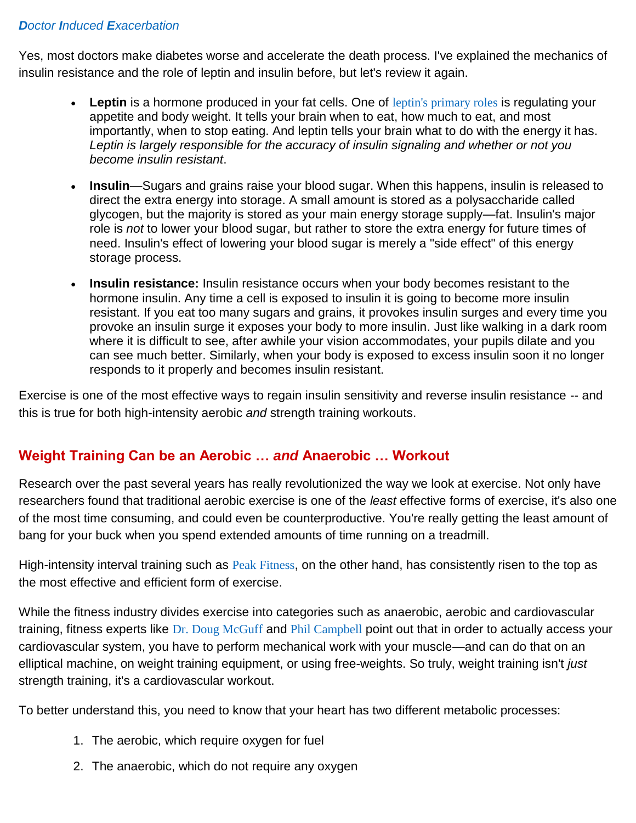### *Doctor Induced E[xacerbation](http://articles.mercola.com/sites/articles/archive/2005/08/16/doctors-cause-diabetics-to-die.aspx)*

Yes, most doctors make diabetes worse and accelerate the death process. I've explained the mechanics of insulin resistance and the role of leptin and insulin before, but let's review it again.

- Leptin is a hormone produced in your fat cells. One of [leptin's primary roles](http://articles.mercola.com/sites/articles/archive/2009/08/29/Fat-Hormone-Influences-Your-Motivation-to-Eat.aspx) is regulating your appetite and body weight. It tells your brain when to eat, how much to eat, and most importantly, when to stop eating. And leptin tells your brain what to do with the energy it has. *Leptin is largely responsible for the accuracy of insulin signaling and whether or not you become insulin resistant*.
- **Insulin**—Sugars and grains raise your blood sugar. When this happens, insulin is released to direct the extra energy into storage. A small amount is stored as a polysaccharide called glycogen, but the majority is stored as your main energy storage supply—fat. Insulin's major role is *not* to lower your blood sugar, but rather to store the extra energy for future times of need. Insulin's effect of lowering your blood sugar is merely a "side effect" of this energy storage process.
- **Insulin resistance:** Insulin resistance occurs when your body becomes resistant to the hormone insulin. Any time a cell is exposed to insulin it is going to become more insulin resistant. If you eat too many sugars and grains, it provokes insulin surges and every time you provoke an insulin surge it exposes your body to more insulin. Just like walking in a dark room where it is difficult to see, after awhile your vision accommodates, your pupils dilate and you can see much better. Similarly, when your body is exposed to excess insulin soon it no longer responds to it properly and becomes insulin resistant.

Exercise is one of the most effective ways to regain insulin sensitivity and reverse insulin resistance -- and this is true for both high-intensity aerobic *and* strength training workouts.

## **Weight Training Can be an Aerobic …** *and* **Anaerobic … Workout**

Research over the past several years has really revolutionized the way we look at exercise. Not only have researchers found that traditional aerobic exercise is one of the *least* effective forms of exercise, it's also one of the most time consuming, and could even be counterproductive. You're really getting the least amount of bang for your buck when you spend extended amounts of time running on a treadmill.

High-intensity interval training such as [Peak Fitness](http://fitness.mercola.com/sites/fitness/archive/2012/02/10/phil-campbell-interview.aspx), on the other hand, has consistently risen to the top as the most effective and efficient form of exercise.

While the fitness industry divides exercise into categories such as anaerobic, aerobic and cardiovascular training, fitness experts like [Dr. Doug McGuff](http://fitness.mercola.com/sites/fitness/archive/2012/01/06/dr-doug-mcguff-on-exercise.aspx) and [Phil Campbell](http://fitness.mercola.com/sites/fitness/archive/2012/02/10/phil-campbell-interview.aspx) point out that in order to actually access your cardiovascular system, you have to perform mechanical work with your muscle—and can do that on an elliptical machine, on weight training equipment, or using free-weights. So truly, weight training isn't *just* strength training, it's a cardiovascular workout.

To better understand this, you need to know that your heart has two different metabolic processes:

- 1. The aerobic, which require oxygen for fuel
- 2. The anaerobic, which do not require any oxygen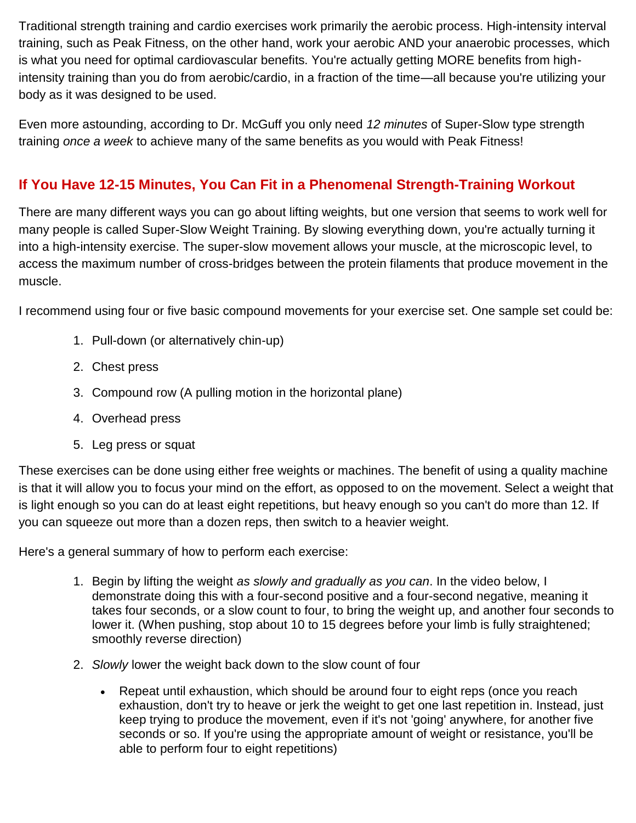Traditional strength training and cardio exercises work primarily the aerobic process. High-intensity interval training, such as Peak Fitness, on the other hand, work your aerobic AND your anaerobic processes, which is what you need for optimal cardiovascular benefits. You're actually getting MORE benefits from highintensity training than you do from aerobic/cardio, in a fraction of the time—all because you're utilizing your body as it was designed to be used.

Even more astounding, according to Dr. McGuff you only need *12 minutes* of Super-Slow type strength training *once a week* to achieve many of the same benefits as you would with Peak Fitness!

## **If You Have 12-15 Minutes, You Can Fit in a Phenomenal Strength-Training Workout**

There are many different ways you can go about lifting weights, but one version that seems to work well for many people is called Super-Slow Weight Training. By slowing everything down, you're actually turning it into a high-intensity exercise. The super-slow movement allows your muscle, at the microscopic level, to access the maximum number of cross-bridges between the protein filaments that produce movement in the muscle.

I recommend using four or five basic compound movements for your exercise set. One sample set could be:

- 1. Pull-down (or alternatively chin-up)
- 2. Chest press
- 3. Compound row (A pulling motion in the horizontal plane)
- 4. Overhead press
- 5. Leg press or squat

These exercises can be done using either free weights or machines. The benefit of using a quality machine is that it will allow you to focus your mind on the effort, as opposed to on the movement. Select a weight that is light enough so you can do at least eight repetitions, but heavy enough so you can't do more than 12. If you can squeeze out more than a dozen reps, then switch to a heavier weight.

Here's a general summary of how to perform each exercise:

- 1. Begin by lifting the weight *as slowly and gradually as you can*. In the video below, I demonstrate doing this with a four-second positive and a four-second negative, meaning it takes four seconds, or a slow count to four, to bring the weight up, and another four seconds to lower it. (When pushing, stop about 10 to 15 degrees before your limb is fully straightened; smoothly reverse direction)
- 2. *Slowly* lower the weight back down to the slow count of four
	- Repeat until exhaustion, which should be around four to eight reps (once you reach exhaustion, don't try to heave or jerk the weight to get one last repetition in. Instead, just keep trying to produce the movement, even if it's not 'going' anywhere, for another five seconds or so. If you're using the appropriate amount of weight or resistance, you'll be able to perform four to eight repetitions)